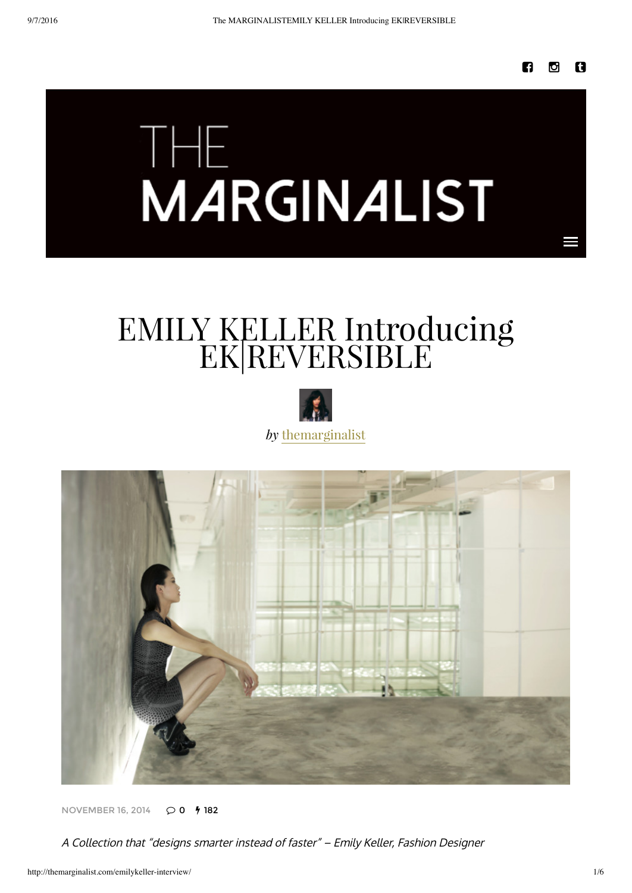# **THE**<br>**MARGINALIST**

## EMILY KELLER Introducing EK|REVERSIBLE





**[NOVEMBER](http://themarginalist.com/emilykeller-interview/) 16, 2014**  $Q$  0  $\frac{1}{2}$  182

A Collection that "designs smarter instead of faster" – Emily Keller, Fashion Designer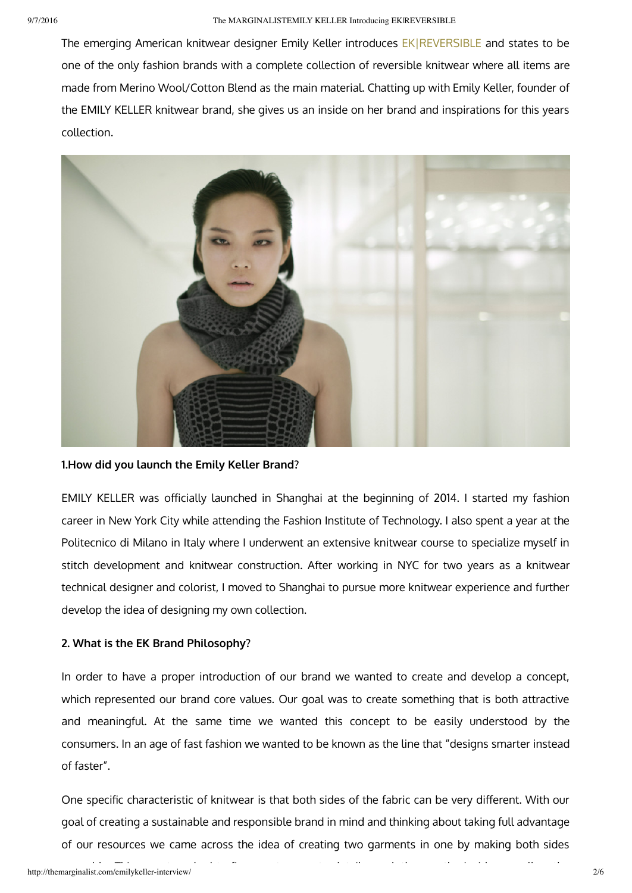The emerging American knitwear designer Emily Keller introduces EKIREVERSIBLE and states to be one of the only fashion brands with a complete collection of reversible knitwear where all items are made from Merino Wool/Cotton Blend as the main material. Chatting up with Emily Keller, founder of the EMILY KELLER knitwear brand, she gives us an inside on her brand and inspirations for this years collection.



**1.How did you launch the Emily Keller Brand?**

EMILY KELLER was officially launched in Shanghai at the beginning of 2014. I started my fashion career in New York City while attending the Fashion Institute of Technology. I also spent a year at the Politecnico di Milano in Italy where I underwent an extensive knitwear course to specialize myself in stitch development and knitwear construction. After working in NYC for two years as a knitwear technical designer and colorist, I moved to Shanghai to pursue more knitwear experience and further develop the idea of designing my own collection.

### **2. What is the EK Brand Philosophy?**

In order to have a proper introduction of our brand we wanted to create and develop a concept, which represented our brand core values. Our goal was to create something that is both attractive and meaningful. At the same time we wanted this concept to be easily understood by the consumers. In an age of fast fashion we wanted to be known as the line that "designs smarter instead of faster".

One specific characteristic of knitwear is that both sides of the fabric can be very different. With our goal of creating a sustainable and responsible brand in mind and thinking about taking full advantage of our resources we came across the idea of creating two garments in one by making both sides